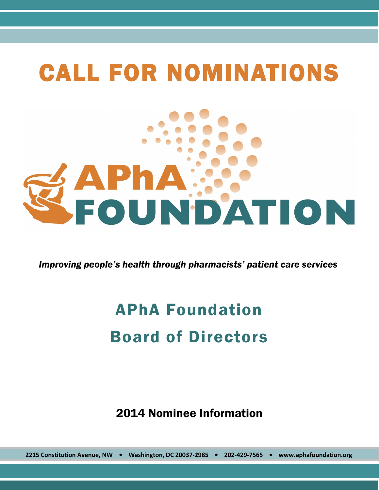# CALL FOR NOMINATIONS APHAWY

*Improving people's health through pharmacists' patient care services*

## APhA Foundation Board of Directors

2014 Nominee Information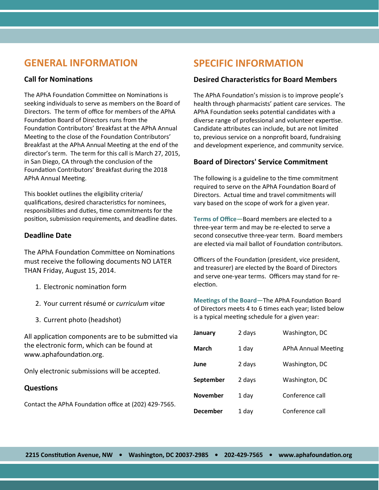### **GENERAL INFORMATION**

#### **Call for Nominations**

The APhA Foundation Committee on Nominations is seeking individuals to serve as members on the Board of Directors. The term of office for members of the APhA Foundation Board of Directors runs from the Foundation Contributors' Breakfast at the APhA Annual Meeting to the close of the Foundation Contributors' Breakfast at the APhA Annual Meeting at the end of the director's term. The term for this call is March 27, 2015, in San Diego, CA through the conclusion of the Foundation Contributors' Breakfast during the 2018 APhA Annual Meeting.

This booklet outlines the eligibility criteria/ qualifications, desired characteristics for nominees, responsibilities and duties, time commitments for the position, submission requirements, and deadline dates.

#### **Deadline Date**

The APhA Foundation Committee on Nominations must receive the following documents NO LATER THAN Friday, August 15, 2014.

- 1. Electronic nomination form
- 2. Your current résumé or *curriculum vitae*
- 3. Current photo (headshot)

All application components are to be submitted via the electronic form, which can be found at www.aphafoundation.org.

Only electronic submissions will be accepted.

#### **Questions**

Contact the APhA Foundation office at (202) 429-7565.

## **SPECIFIC INFORMATION**

#### **Desired Characteristics for Board Members**

The APhA Foundation's mission is to improve people's health through pharmacists' patient care services. The APhA Foundation seeks potential candidates with a diverse range of professional and volunteer expertise. Candidate attributes can include, but are not limited to, previous service on a nonprofit board, fundraising and development experience, and community service.

#### **Board of Directors' Service Commitment**

The following is a guideline to the time commitment required to serve on the APhA Foundation Board of Directors. Actual time and travel commitments will vary based on the scope of work for a given year.

**Terms of Office**—Board members are elected to a three-year term and may be re-elected to serve a second consecutive three-year term. Board members are elected via mail ballot of Foundation contributors.

Officers of the Foundation (president, vice president, and treasurer) are elected by the Board of Directors and serve one-year terms. Officers may stand for reelection.

**Meetings of the Board**—The APhA Foundation Board of Directors meets 4 to 6 times each year; listed below is a typical meeting schedule for a given year:

| January         | 2 days | Washington, DC             |
|-----------------|--------|----------------------------|
| March           | 1 day  | <b>APhA Annual Meeting</b> |
| June            | 2 days | Washington, DC             |
| September       | 2 days | Washington, DC             |
| <b>November</b> | 1 day  | Conference call            |
| <b>December</b> | 1 dav  | Conference call            |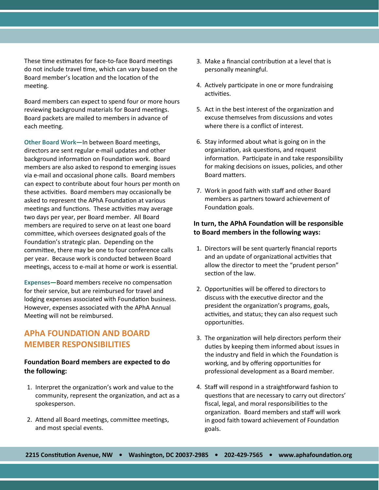These time estimates for face-to-face Board meetings do not include travel time, which can vary based on the Board member's location and the location of the meeting.

Board members can expect to spend four or more hours reviewing background materials for Board meetings. Board packets are mailed to members in advance of each meeting.

**Other Board Work—**In between Board meetings, directors are sent regular e-mail updates and other background information on Foundation work. Board members are also asked to respond to emerging issues via e-mail and occasional phone calls. Board members can expect to contribute about four hours per month on these activities. Board members may occasionally be asked to represent the APhA Foundation at various meetings and functions. These activities may average two days per year, per Board member. All Board members are required to serve on at least one board committee, which oversees designated goals of the Foundation's strategic plan. Depending on the committee, there may be one to four conference calls per year. Because work is conducted between Board meetings, access to e-mail at home or work is essential.

**Expenses—**Board members receive no compensation for their service, but are reimbursed for travel and lodging expenses associated with Foundation business. However, expenses associated with the APhA Annual Meeting will not be reimbursed.

#### **APhA FOUNDATION AND BOARD MEMBER RESPONSIBILITIES**

#### **Foundation Board members are expected to do the following:**

- 1. Interpret the organization's work and value to the community, represent the organization, and act as a spokesperson.
- 2. Attend all Board meetings, committee meetings, and most special events.
- 3. Make a financial contribution at a level that is personally meaningful.
- 4. Actively participate in one or more fundraising activities.
- 5. Act in the best interest of the organization and excuse themselves from discussions and votes where there is a conflict of interest.
- 6. Stay informed about what is going on in the organization, ask questions, and request information. Participate in and take responsibility for making decisions on issues, policies, and other Board matters.
- 7. Work in good faith with staff and other Board members as partners toward achievement of Foundation goals.

#### **In turn, the APhA Foundation will be responsible to Board members in the following ways:**

- 1. Directors will be sent quarterly financial reports and an update of organizational activities that allow the director to meet the "prudent person" section of the law.
- 2. Opportunities will be offered to directors to discuss with the executive director and the president the organization's programs, goals, activities, and status; they can also request such opportunities.
- 3. The organization will help directors perform their duties by keeping them informed about issues in the industry and field in which the Foundation is working, and by offering opportunities for professional development as a Board member.
- 4. Staff will respond in a straightforward fashion to questions that are necessary to carry out directors' fiscal, legal, and moral responsibilities to the organization. Board members and staff will work in good faith toward achievement of Foundation goals.